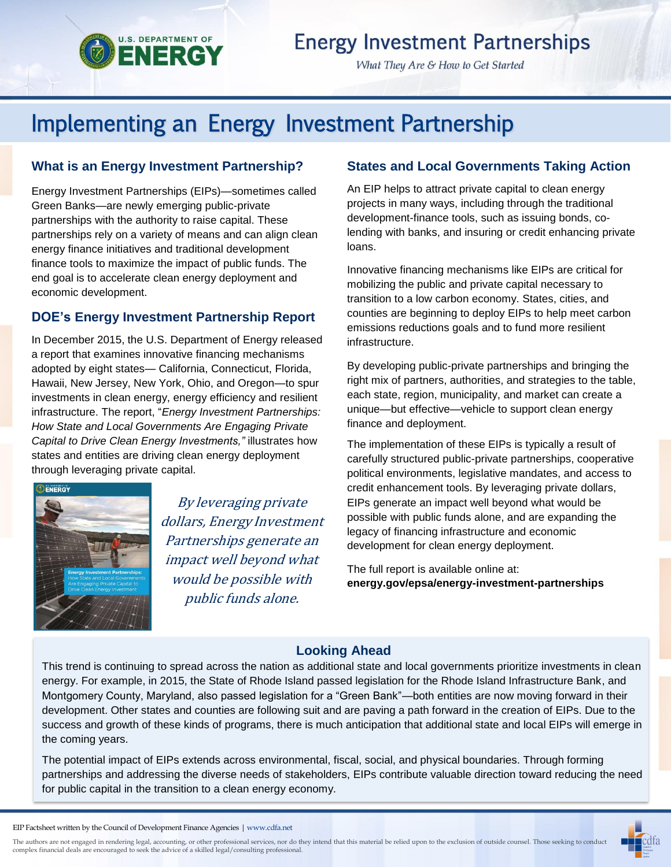

## **Energy Investment Partnerships**

What They Are & How to Get Started

# Implementing an Energy Investment Partnership

#### **What is an Energy Investment Partnership?**

Energy Investment Partnerships (EIPs)—sometimes called Green Banks—are newly emerging public-private partnerships with the authority to raise capital. These partnerships rely on a variety of means and can align clean energy finance initiatives and traditional development finance tools to maximize the impact of public funds. The end goal is to accelerate clean energy deployment and economic development.

#### **DOE's Energy Investment Partnership Report**

In December 2015, the U.S. Department of Energy released a report that examines innovative financing mechanisms adopted by eight states— California, Connecticut, Florida, Hawaii, New Jersey, New York, Ohio, and Oregon—to spur investments in clean energy, energy efficiency and resilient infrastructure. The report, "*Energy Investment Partnerships: How State and Local Governments Are Engaging Private Capital to Drive Clean Energy Investments,"* illustrates how states and entities are driving clean energy deployment through leveraging private capital.



By leveraging private dollars, Energy Investment Partnerships generate an impact well beyond what would be possible with public funds alone.

#### **States and Local Governments Taking Action**

An EIP helps to attract private capital to clean energy projects in many ways, including through the traditional development-finance tools, such as issuing bonds, colending with banks, and insuring or credit enhancing private loans.

Innovative financing mechanisms like EIPs are critical for mobilizing the public and private capital necessary to transition to a low carbon economy. States, cities, and counties are beginning to deploy EIPs to help meet carbon emissions reductions goals and to fund more resilient infrastructure.

By developing public-private partnerships and bringing the right mix of partners, authorities, and strategies to the table, each state, region, municipality, and market can create a unique—but effective—vehicle to support clean energy finance and deployment.

The implementation of these EIPs is typically a result of carefully structured public-private partnerships, cooperative political environments, legislative mandates, and access to credit enhancement tools. By leveraging private dollars, EIPs generate an impact well beyond what would be possible with public funds alone, and are expanding the legacy of financing infrastructure and economic development for clean energy deployment.

The full report is available online at: **energy.gov/epsa/energy-investment-partnerships**

### **Looking Ahead**

This trend is continuing to spread across the nation as additional state and local governments prioritize investments in clean energy. For example, in 2015, the State of Rhode Island passed legislation for the Rhode Island Infrastructure Bank, and Montgomery County, Maryland, also passed legislation for a "Green Bank"—both entities are now moving forward in their development. Other states and counties are following suit and are paving a path forward in the creation of EIPs. Due to the success and growth of these kinds of programs, there is much anticipation that additional state and local EIPs will emerge in the coming years.

The potential impact of EIPs extends across environmental, fiscal, social, and physical boundaries. Through forming partnerships and addressing the diverse needs of stakeholders, EIPs contribute valuable direction toward reducing the need for public capital in the transition to a clean energy economy.

The authors are not engaged in rendering legal, accounting, or other professional services, nor do they intend that this material be relied upon to the exclusion of outside counsel. Those seeking to conduct<br>complex financi